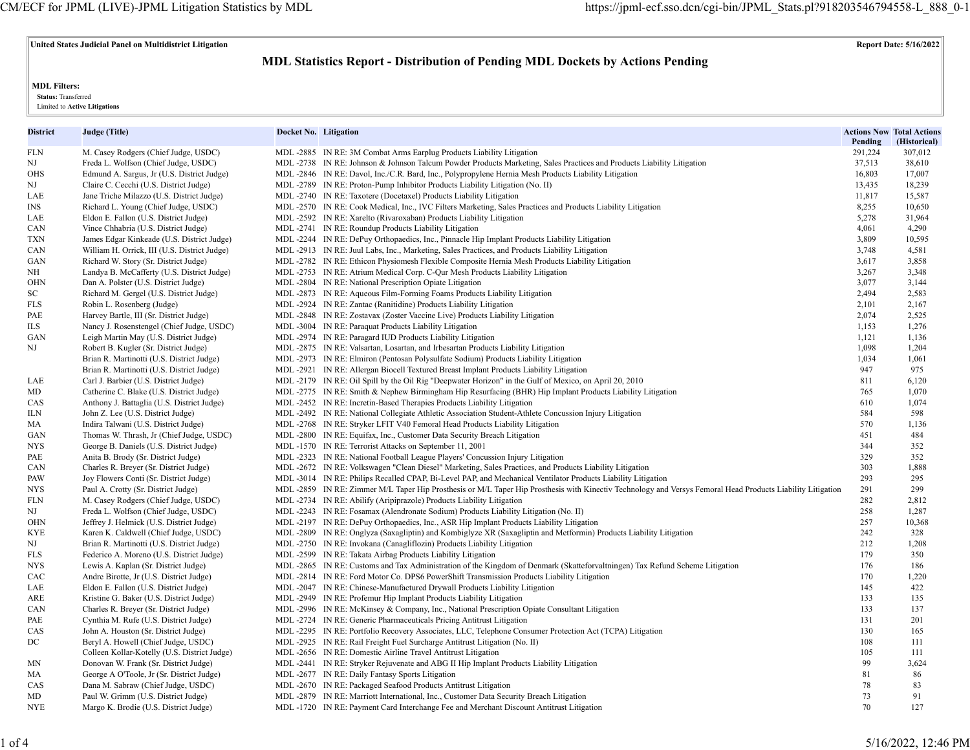**United States Judicial Panel on Multidistrict Litigation Report Date: 5/16/2022**

# **MDL Statistics Report - Distribution of Pending MDL Dockets by Actions Pending**

**MDL Filters:**

 **Status:** Transferred

Limited to **Active Litigations**

| District  | Judge (Title)                                                                         | Docket No. Litigation |                                                                                                                                                             | Pending    | <b>Actions Now Total Actions</b><br>(Historical) |
|-----------|---------------------------------------------------------------------------------------|-----------------------|-------------------------------------------------------------------------------------------------------------------------------------------------------------|------------|--------------------------------------------------|
| FLN       | M. Casey Rodgers (Chief Judge, USDC)                                                  |                       | MDL -2885 IN RE: 3M Combat Arms Earplug Products Liability Litigation                                                                                       | 291,224    | 307,012                                          |
| NJ        | Freda L. Wolfson (Chief Judge, USDC)                                                  |                       | MDL-2738 IN RE: Johnson & Johnson Talcum Powder Products Marketing, Sales Practices and Products Liability Litigation                                       | 37,513     | 38,610                                           |
| OHS       | Edmund A. Sargus, Jr (U.S. District Judge)                                            |                       | MDL -2846 IN RE: Davol, Inc./C.R. Bard, Inc., Polypropylene Hernia Mesh Products Liability Litigation                                                       | 16,803     | 17,007                                           |
| NJ        | Claire C. Cecchi (U.S. District Judge)                                                |                       | MDL -2789 IN RE: Proton-Pump Inhibitor Products Liability Litigation (No. II)                                                                               | 13,435     | 18,239                                           |
| LAE       | Jane Triche Milazzo (U.S. District Judge)                                             |                       | MDL -2740 IN RE: Taxotere (Docetaxel) Products Liability Litigation                                                                                         | 11,817     | 15,587                                           |
| INS       | Richard L. Young (Chief Judge, USDC)                                                  |                       | MDL-2570 IN RE: Cook Medical, Inc., IVC Filters Marketing, Sales Practices and Products Liability Litigation                                                | 8,255      | 10,650                                           |
| LAE       | Eldon E. Fallon (U.S. District Judge)                                                 |                       | MDL -2592 IN RE: Xarelto (Rivaroxaban) Products Liability Litigation                                                                                        | 5,278      | 31,964                                           |
| CAN       | Vince Chhabria (U.S. District Judge)                                                  |                       | MDL -2741 IN RE: Roundup Products Liability Litigation                                                                                                      | 4,061      | 4,290                                            |
| TXN       | James Edgar Kinkeade (U.S. District Judge)                                            |                       | MDL-2244 IN RE: DePuy Orthopaedics, Inc., Pinnacle Hip Implant Products Liability Litigation                                                                | 3,809      | 10,595                                           |
| CAN       | William H. Orrick, III (U.S. District Judge)                                          |                       | MDL-2913 IN RE: Juul Labs, Inc., Marketing, Sales Practices, and Products Liability Litigation                                                              | 3,748      | 4,581                                            |
| GAN       | Richard W. Story (Sr. District Judge)                                                 |                       | MDL-2782 IN RE: Ethicon Physiomesh Flexible Composite Hernia Mesh Products Liability Litigation                                                             | 3,617      | 3,858                                            |
| NΗ        | Landya B. McCafferty (U.S. District Judge)                                            |                       | MDL-2753 IN RE: Atrium Medical Corp. C-Qur Mesh Products Liability Litigation                                                                               | 3,267      | 3,348                                            |
| OHN       | Dan A. Polster (U.S. District Judge)                                                  |                       | MDL -2804 IN RE: National Prescription Opiate Litigation                                                                                                    | 3,077      | 3,144                                            |
| SC        | Richard M. Gergel (U.S. District Judge)                                               |                       | MDL-2873 IN RE: Aqueous Film-Forming Foams Products Liability Litigation                                                                                    | 2,494      | 2,583                                            |
| FLS       | Robin L. Rosenberg (Judge)                                                            |                       | MDL -2924 IN RE: Zantac (Ranitidine) Products Liability Litigation                                                                                          | 2,101      | 2,167                                            |
| PAE       | Harvey Bartle, III (Sr. District Judge)                                               |                       | MDL -2848 IN RE: Zostavax (Zoster Vaccine Live) Products Liability Litigation                                                                               | 2,074      | 2,525                                            |
| ILS       | Nancy J. Rosenstengel (Chief Judge, USDC)                                             |                       | MDL -3004 IN RE: Paraquat Products Liability Litigation                                                                                                     | 1,153      | 1,276                                            |
| GAN       | Leigh Martin May (U.S. District Judge)                                                |                       | MDL -2974 IN RE: Paragard IUD Products Liability Litigation                                                                                                 | 1,121      | 1,136                                            |
| ΝJ        | Robert B. Kugler (Sr. District Judge)                                                 |                       | MDL -2875 IN RE: Valsartan, Losartan, and Irbesartan Products Liability Litigation                                                                          | 1,098      | 1,204                                            |
|           | Brian R. Martinotti (U.S. District Judge)                                             |                       | MDL -2973 IN RE: Elmiron (Pentosan Polysulfate Sodium) Products Liability Litigation                                                                        | 1,034      | 1,061                                            |
|           | Brian R. Martinotti (U.S. District Judge)                                             |                       | MDL-2921 IN RE: Allergan Biocell Textured Breast Implant Products Liability Litigation                                                                      | 947        | 975                                              |
| LAE       | Carl J. Barbier (U.S. District Judge)                                                 |                       | MDL-2179 IN RE: Oil Spill by the Oil Rig "Deepwater Horizon" in the Gulf of Mexico, on April 20, 2010                                                       | 811        | 6,120                                            |
| MD        | Catherine C. Blake (U.S. District Judge)                                              |                       | MDL-2775 IN RE: Smith & Nephew Birmingham Hip Resurfacing (BHR) Hip Implant Products Liability Litigation                                                   | 765        | 1,070                                            |
| CAS       | Anthony J. Battaglia (U.S. District Judge)                                            |                       | MDL -2452 IN RE: Incretin-Based Therapies Products Liability Litigation                                                                                     | 610        | 1,074                                            |
| ILΝ       | John Z. Lee (U.S. District Judge)                                                     |                       | MDL-2492 IN RE: National Collegiate Athletic Association Student-Athlete Concussion Injury Litigation                                                       | 584        | 598                                              |
| MA        | Indira Talwani (U.S. District Judge)                                                  |                       | MDL -2768 IN RE: Stryker LFIT V40 Femoral Head Products Liability Litigation                                                                                | 570        | 1,136                                            |
| GAN       | Thomas W. Thrash, Jr (Chief Judge, USDC)                                              |                       | MDL -2800 IN RE: Equifax, Inc., Customer Data Security Breach Litigation                                                                                    | 451        | 484                                              |
| NYS       | George B. Daniels (U.S. District Judge)                                               |                       | MDL-1570 IN RE: Terrorist Attacks on September 11, 2001                                                                                                     | 344        | 352                                              |
| PAE       | Anita B. Brody (Sr. District Judge)                                                   |                       | MDL -2323 IN RE: National Football League Players' Concussion Injury Litigation                                                                             | 329        | 352                                              |
| CAN       | Charles R. Breyer (Sr. District Judge)                                                |                       | MDL-2672 IN RE: Volkswagen "Clean Diesel" Marketing, Sales Practices, and Products Liability Litigation                                                     | 303        | 1,888                                            |
| PAW       | Joy Flowers Conti (Sr. District Judge)                                                |                       | MDL-3014 IN RE: Philips Recalled CPAP, Bi-Level PAP, and Mechanical Ventilator Products Liability Litigation                                                | 293        | 295                                              |
| NYS.      | Paul A. Crotty (Sr. District Judge)                                                   |                       | MDL -2859 IN RE: Zimmer M/L Taper Hip Prosthesis or M/L Taper Hip Prosthesis with Kinectiv Technology and Versys Femoral Head Products Liability Litigation | 291        | 299                                              |
| FLN       | M. Casey Rodgers (Chief Judge, USDC)                                                  |                       | MDL -2734 IN RE: Abilify (Aripiprazole) Products Liability Litigation                                                                                       | 282        | 2,812                                            |
| NJ        | Freda L. Wolfson (Chief Judge, USDC)                                                  |                       | MDL-2243 IN RE: Fosamax (Alendronate Sodium) Products Liability Litigation (No. II)                                                                         | 258        | 1,287                                            |
| OHN       | Jeffrey J. Helmick (U.S. District Judge)                                              |                       | MDL-2197 IN RE: DePuy Orthopaedics, Inc., ASR Hip Implant Products Liability Litigation                                                                     | 257        | 10,368                                           |
| KYE       | Karen K. Caldwell (Chief Judge, USDC)                                                 |                       | MDL-2809 IN RE: Onglyza (Saxagliptin) and Kombiglyze XR (Saxagliptin and Metformin) Products Liability Litigation                                           | 242        | 328                                              |
| NJ        | Brian R. Martinotti (U.S. District Judge)                                             |                       | MDL -2750 IN RE: Invokana (Canagliflozin) Products Liability Litigation                                                                                     | 212        | 1,208                                            |
| FLS       | Federico A. Moreno (U.S. District Judge)                                              |                       | MDL-2599 IN RE: Takata Airbag Products Liability Litigation                                                                                                 | 179        | 350                                              |
| NYS       | Lewis A. Kaplan (Sr. District Judge)                                                  |                       | MDL -2865 IN RE: Customs and Tax Administration of the Kingdom of Denmark (Skatteforvaltningen) Tax Refund Scheme Litigation                                | 176        | 186                                              |
| CAC       | Andre Birotte, Jr (U.S. District Judge)                                               |                       | MDL-2814 IN RE: Ford Motor Co. DPS6 PowerShift Transmission Products Liability Litigation                                                                   | 170        | 1,220                                            |
| LAE       | Eldon E. Fallon (U.S. District Judge)                                                 |                       | MDL -2047 IN RE: Chinese-Manufactured Drywall Products Liability Litigation                                                                                 | 145        | 422                                              |
| ARE       | Kristine G. Baker (U.S. District Judge)                                               |                       | MDL -2949 IN RE: Profemur Hip Implant Products Liability Litigation                                                                                         | 133        | 135                                              |
| CAN       | Charles R. Breyer (Sr. District Judge)                                                |                       | MDL-2996 IN RE: McKinsey & Company, Inc., National Prescription Opiate Consultant Litigation                                                                | 133        | 137                                              |
| PAE       | Cynthia M. Rufe (U.S. District Judge)                                                 |                       | MDL -2724 IN RE: Generic Pharmaceuticals Pricing Antitrust Litigation                                                                                       | 131        | 201                                              |
| CAS       | John A. Houston (Sr. District Judge)                                                  |                       | MDL-2295 IN RE: Portfolio Recovery Associates, LLC, Telephone Consumer Protection Act (TCPA) Litigation                                                     | 130        | 165                                              |
| DC        | Beryl A. Howell (Chief Judge, USDC)                                                   |                       | MDL -2925 IN RE: Rail Freight Fuel Surcharge Antitrust Litigation (No. II)                                                                                  | 108<br>105 | 111                                              |
| MΝ        | Colleen Kollar-Kotelly (U.S. District Judge)<br>Donovan W. Frank (Sr. District Judge) |                       | MDL -2656 IN RE: Domestic Airline Travel Antitrust Litigation<br>MDL-2441 IN RE: Stryker Rejuvenate and ABG II Hip Implant Products Liability Litigation    | 99         | 111<br>3,624                                     |
|           | George A O'Toole, Jr (Sr. District Judge)                                             |                       | MDL -2677 IN RE: Daily Fantasy Sports Litigation                                                                                                            | 81         | 86                                               |
| MA<br>CAS | Dana M. Sabraw (Chief Judge, USDC)                                                    |                       | MDL -2670 IN RE: Packaged Seafood Products Antitrust Litigation                                                                                             | 78         | 83                                               |
| MD        | Paul W. Grimm (U.S. District Judge)                                                   |                       | MDL-2879 IN RE: Marriott International, Inc., Customer Data Security Breach Litigation                                                                      | 73         | 91                                               |
| NYE       | Margo K. Brodie (U.S. District Judge)                                                 |                       | MDL -1720 IN RE: Payment Card Interchange Fee and Merchant Discount Antitrust Litigation                                                                    | 70         | 127                                              |
|           |                                                                                       |                       |                                                                                                                                                             |            |                                                  |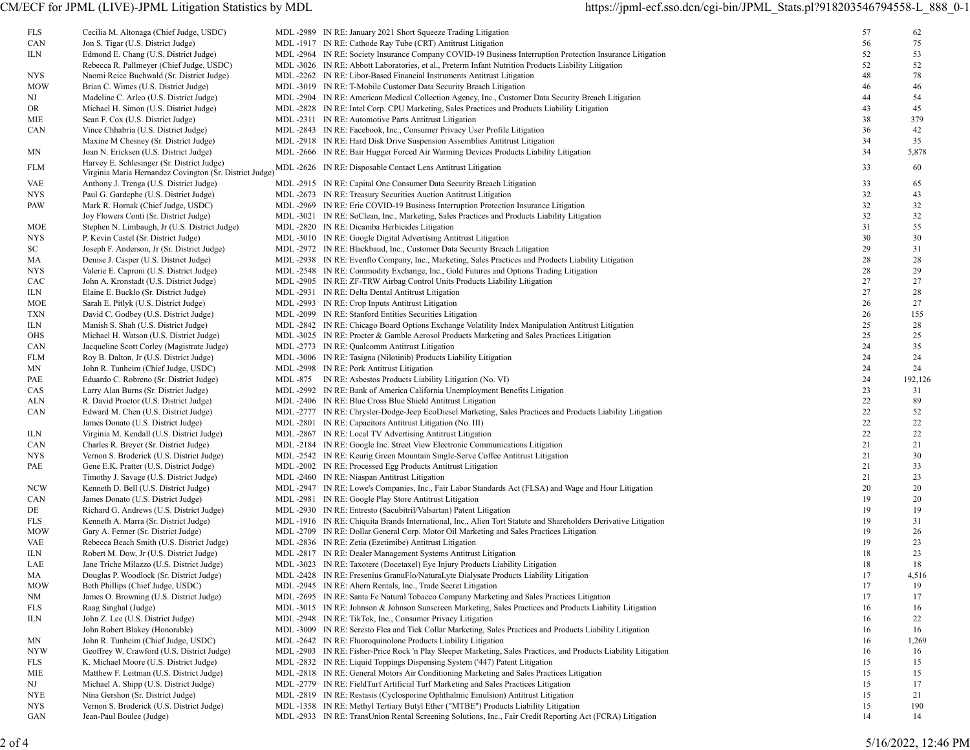| FLS        | Cecilia M. Altonaga (Chief Judge, USDC)       | MDL-2989 IN RE: January 2021 Short Squeeze Trading Litigation                                                         | 57 | 62      |
|------------|-----------------------------------------------|-----------------------------------------------------------------------------------------------------------------------|----|---------|
| CAN        | Jon S. Tigar (U.S. District Judge)            | MDL -1917 IN RE: Cathode Ray Tube (CRT) Antitrust Litigation                                                          | 56 | 75      |
|            |                                               |                                                                                                                       |    |         |
| ILN        | Edmond E. Chang (U.S. District Judge)         | MDL-2964 IN RE: Society Insurance Company COVID-19 Business Interruption Protection Insurance Litigation              | 52 | 53      |
|            | Rebecca R. Pallmeyer (Chief Judge, USDC)      | MDL-3026 IN RE: Abbott Laboratories, et al., Preterm Infant Nutrition Products Liability Litigation                   | 52 | 52      |
| <b>NYS</b> | Naomi Reice Buchwald (Sr. District Judge)     | MDL -2262 IN RE: Libor-Based Financial Instruments Antitrust Litigation                                               | 48 | 78      |
| <b>MOW</b> | Brian C. Wimes (U.S. District Judge)          | MDL -3019 IN RE: T-Mobile Customer Data Security Breach Litigation                                                    | 46 | 46      |
| NJ         | Madeline C. Arleo (U.S. District Judge)       | MDL-2904 IN RE: American Medical Collection Agency, Inc., Customer Data Security Breach Litigation                    | 44 | 54      |
| OR         | Michael H. Simon (U.S. District Judge)        | MDL-2828 IN RE: Intel Corp. CPU Marketing, Sales Practices and Products Liability Litigation                          | 43 | 45      |
| MIE        | Sean F. Cox (U.S. District Judge)             | MDL -2311 IN RE: Automotive Parts Antitrust Litigation                                                                | 38 | 379     |
| CAN        | Vince Chhabria (U.S. District Judge)          | MDL -2843 IN RE: Facebook, Inc., Consumer Privacy User Profile Litigation                                             | 36 | 42      |
|            | Maxine M Chesney (Sr. District Judge)         | MDL -2918 IN RE: Hard Disk Drive Suspension Assemblies Antitrust Litigation                                           | 34 | 35      |
|            | Joan N. Ericksen (U.S. District Judge)        | MDL-2666 IN RE: Bair Hugger Forced Air Warming Devices Products Liability Litigation                                  | 34 | 5,878   |
| MΝ         |                                               |                                                                                                                       |    |         |
| FLM        | Harvey E. Schlesinger (Sr. District Judge)    | Virginia Maria Hernandez Covington (Sr. District Judge) MDL -2626 IN RE: Disposable Contact Lens Antitrust Litigation | 33 | 60      |
| VAE        | Anthony J. Trenga (U.S. District Judge)       | MDL -2915 IN RE: Capital One Consumer Data Security Breach Litigation                                                 | 33 | 65      |
| <b>NYS</b> | Paul G. Gardephe (U.S. District Judge)        | MDL -2673 IN RE: Treasury Securities Auction Antitrust Litigation                                                     | 32 | 43      |
| PAW        | Mark R. Hornak (Chief Judge, USDC)            | MDL -2969 IN RE: Erie COVID-19 Business Interruption Protection Insurance Litigation                                  | 32 | 32      |
|            | Joy Flowers Conti (Sr. District Judge)        | MDL-3021 IN RE: SoClean, Inc., Marketing, Sales Practices and Products Liability Litigation                           | 32 | 32      |
|            |                                               |                                                                                                                       |    |         |
| MOE        | Stephen N. Limbaugh, Jr (U.S. District Judge) | MDL -2820 IN RE: Dicamba Herbicides Litigation                                                                        | 31 | 55      |
| <b>NYS</b> | P. Kevin Castel (Sr. District Judge)          | MDL -3010 IN RE: Google Digital Advertising Antitrust Litigation                                                      | 30 | 30      |
| SC         | Joseph F. Anderson, Jr (Sr. District Judge)   | MDL -2972 IN RE: Blackbaud, Inc., Customer Data Security Breach Litigation                                            | 29 | 31      |
| МA         | Denise J. Casper (U.S. District Judge)        | MDL-2938 IN RE: Evenflo Company, Inc., Marketing, Sales Practices and Products Liability Litigation                   | 28 | 28      |
| <b>NYS</b> | Valerie E. Caproni (U.S. District Judge)      | MDL-2548 IN RE: Commodity Exchange, Inc., Gold Futures and Options Trading Litigation                                 | 28 | 29      |
| CAC        | John A. Kronstadt (U.S. District Judge)       | MDL -2905 IN RE: ZF-TRW Airbag Control Units Products Liability Litigation                                            | 27 | 27      |
| ILN        | Elaine E. Bucklo (Sr. District Judge)         | MDL -2931 IN RE: Delta Dental Antitrust Litigation                                                                    | 27 | 28      |
| MOE        | Sarah E. Pitlyk (U.S. District Judge)         | MDL -2993 IN RE: Crop Inputs Antitrust Litigation                                                                     | 26 | 27      |
| TXN        | David C. Godbey (U.S. District Judge)         | MDL-2099 IN RE: Stanford Entities Securities Litigation                                                               | 26 | 155     |
| ILN        | Manish S. Shah (U.S. District Judge)          | MDL-2842 IN RE: Chicago Board Options Exchange Volatility Index Manipulation Antitrust Litigation                     | 25 | 28      |
|            |                                               | MDL-3025 IN RE: Procter & Gamble Aerosol Products Marketing and Sales Practices Litigation                            | 25 | 25      |
| OHS        | Michael H. Watson (U.S. District Judge)       |                                                                                                                       |    |         |
| CAN        | Jacqueline Scott Corley (Magistrate Judge)    | MDL-2773 IN RE: Qualcomm Antitrust Litigation                                                                         | 24 | 35      |
| FLM        | Roy B. Dalton, Jr (U.S. District Judge)       | MDL -3006 IN RE: Tasigna (Nilotinib) Products Liability Litigation                                                    | 24 | 24      |
| ΜN         | John R. Tunheim (Chief Judge, USDC)           | MDL-2998 IN RE: Pork Antitrust Litigation                                                                             | 24 | 24      |
| PAE        | Eduardo C. Robreno (Sr. District Judge)       | MDL -875 IN RE: Asbestos Products Liability Litigation (No. VI)                                                       | 24 | 192,126 |
| CAS        | Larry Alan Burns (Sr. District Judge)         | MDL -2992 IN RE: Bank of America California Unemployment Benefits Litigation                                          | 23 | 31      |
| ALN        | R. David Proctor (U.S. District Judge)        | MDL -2406 IN RE: Blue Cross Blue Shield Antitrust Litigation                                                          | 22 | 89      |
| CAN        | Edward M. Chen (U.S. District Judge)          | MDL-2777 IN RE: Chrysler-Dodge-Jeep EcoDiesel Marketing, Sales Practices and Products Liability Litigation            | 22 | 52      |
|            | James Donato (U.S. District Judge)            | MDL -2801 IN RE: Capacitors Antitrust Litigation (No. III)                                                            | 22 | 22      |
| ILN        | Virginia M. Kendall (U.S. District Judge)     | MDL -2867 IN RE: Local TV Advertising Antitrust Litigation                                                            | 22 | 22      |
| CAN        | Charles R. Breyer (Sr. District Judge)        | MDL -2184 IN RE: Google Inc. Street View Electronic Communications Litigation                                         | 21 | 21      |
| NYS.       | Vernon S. Broderick (U.S. District Judge)     | MDL -2542 IN RE: Keurig Green Mountain Single-Serve Coffee Antitrust Litigation                                       | 21 | 30      |
|            |                                               |                                                                                                                       |    |         |
| PAE        | Gene E.K. Pratter (U.S. District Judge)       | MDL-2002 IN RE: Processed Egg Products Antitrust Litigation                                                           | 21 | 33      |
|            | Timothy J. Savage (U.S. District Judge)       | MDL -2460 IN RE: Niaspan Antitrust Litigation                                                                         | 21 | 23      |
| NCW        | Kenneth D. Bell (U.S. District Judge)         | MDL -2947 IN RE: Lowe's Companies, Inc., Fair Labor Standards Act (FLSA) and Wage and Hour Litigation                 | 20 | 20      |
| CAN        | James Donato (U.S. District Judge)            | MDL -2981 IN RE: Google Play Store Antitrust Litigation                                                               | 19 | 20      |
| DE         | Richard G. Andrews (U.S. District Judge)      | MDL -2930 IN RE: Entresto (Sacubitril/Valsartan) Patent Litigation                                                    | 19 | 19      |
| FLS        | Kenneth A. Marra (Sr. District Judge)         | MDL-1916 IN RE: Chiquita Brands International, Inc., Alien Tort Statute and Shareholders Derivative Litigation        | 19 | 31      |
| <b>MOW</b> | Gary A. Fenner (Sr. District Judge)           | MDL -2709 IN RE: Dollar General Corp. Motor Oil Marketing and Sales Practices Litigation                              | 19 | 26      |
| VAE        | Rebecca Beach Smith (U.S. District Judge)     | MDL -2836 IN RE: Zetia (Ezetimibe) Antitrust Litigation                                                               | 19 | 23      |
| ILN        | Robert M. Dow, Jr (U.S. District Judge)       | MDL -2817 IN RE: Dealer Management Systems Antitrust Litigation                                                       | 18 | 23      |
| LAE        | Jane Triche Milazzo (U.S. District Judge)     | MDL -3023 IN RE: Taxotere (Docetaxel) Eye Injury Products Liability Litigation                                        | 18 | 18      |
|            |                                               | MDL-2428 IN RE: Fresenius GranuFlo/NaturaLyte Dialysate Products Liability Litigation                                 | 17 |         |
| MA         | Douglas P. Woodlock (Sr. District Judge)      |                                                                                                                       |    | 4,516   |
| <b>MOW</b> | Beth Phillips (Chief Judge, USDC)             | MDL -2945 IN RE: Ahern Rentals, Inc., Trade Secret Litigation                                                         | 17 | 19      |
| NM         | James O. Browning (U.S. District Judge)       | MDL-2695 IN RE: Santa Fe Natural Tobacco Company Marketing and Sales Practices Litigation                             | 17 | 17      |
| FLS        | Raag Singhal (Judge)                          | MDL-3015 IN RE: Johnson & Johnson Sunscreen Marketing, Sales Practices and Products Liability Litigation              | 16 | 16      |
| ILN        | John Z. Lee (U.S. District Judge)             | MDL-2948 IN RE: TikTok, Inc., Consumer Privacy Litigation                                                             | 16 | 22      |
|            | John Robert Blakey (Honorable)                | MDL-3009 IN RE: Seresto Flea and Tick Collar Marketing, Sales Practices and Products Liability Litigation             | 16 | 16      |
| MΝ         | John R. Tunheim (Chief Judge, USDC)           | MDL-2642 IN RE: Fluoroquinolone Products Liability Litigation                                                         | 16 | 1,269   |
| NYW        | Geoffrey W. Crawford (U.S. District Judge)    | MDL-2903 IN RE: Fisher-Price Rock 'n Play Sleeper Marketing, Sales Practices, and Products Liability Litigation       | 16 | 16      |
| FLS        | K. Michael Moore (U.S. District Judge)        | MDL -2832 IN RE: Liquid Toppings Dispensing System ('447) Patent Litigation                                           | 15 | 15      |
| MIE        | Matthew F. Leitman (U.S. District Judge)      | MDL-2818 IN RE: General Motors Air Conditioning Marketing and Sales Practices Litigation                              | 15 | 15      |
| NJ         | Michael A. Shipp (U.S. District Judge)        | MDL -2779 IN RE: FieldTurf Artificial Turf Marketing and Sales Practices Litigation                                   | 15 | 17      |
|            |                                               |                                                                                                                       |    |         |
| <b>NYE</b> | Nina Gershon (Sr. District Judge)             | MDL-2819 IN RE: Restasis (Cyclosporine Ophthalmic Emulsion) Antitrust Litigation                                      | 15 | 21      |
| <b>NYS</b> | Vernon S. Broderick (U.S. District Judge)     | MDL -1358 IN RE: Methyl Tertiary Butyl Ether ("MTBE") Products Liability Litigation                                   | 15 | 190     |
| GAN        | Jean-Paul Boulee (Judge)                      | MDL-2933 IN RE: TransUnion Rental Screening Solutions, Inc., Fair Credit Reporting Act (FCRA) Litigation              | 14 | 14      |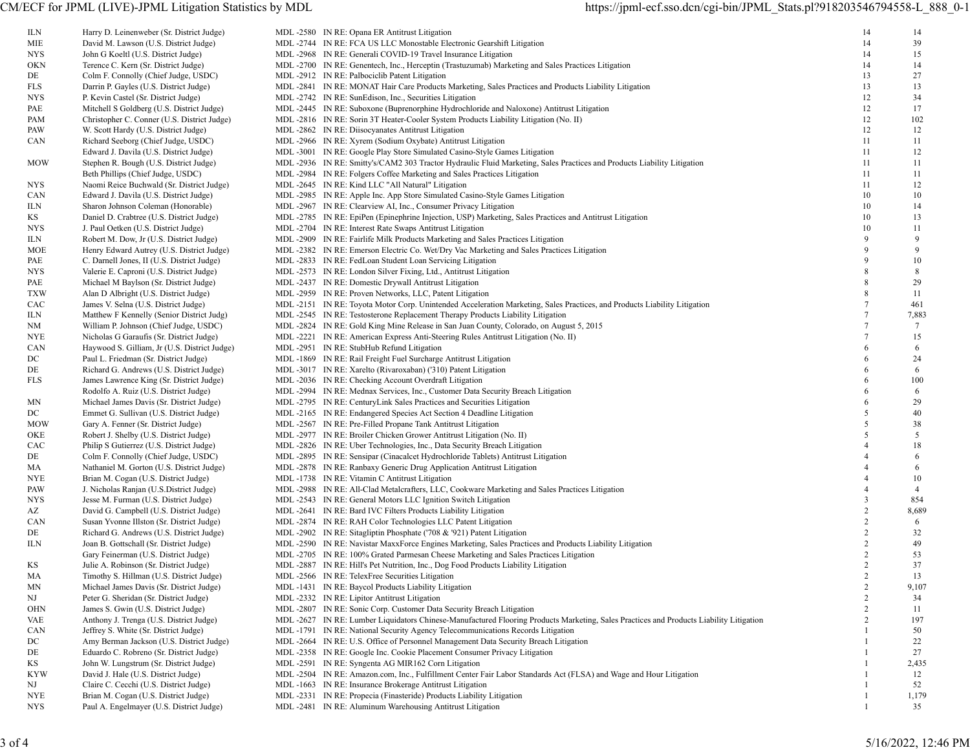ILN Harry D. Leinenweber (Sr. District Judge) MIE David M. Lawson (U.S. District Judge) NYS John G Koeltl (U.S. District Judge) OKN Terence C. Kern (Sr. District Judge) DE Colm F. Connolly (Chief Judge, USDC) FLS Darrin P. Gayles (U.S. District Judge) NYS P. Kevin Castel (Sr. District Judge) PAE Mitchell S Goldberg (U.S. District Judge) PAM Christopher C. Conner (U.S. District Judge) PAW W. Scott Hardy (U.S. District Judge) CAN Richard Seeborg (Chief Judge, USDC) Edward J. Davila (U.S. District Judge) MOW Stephen R. Bough (U.S. District Judge) Beth Phillips (Chief Judge, USDC) NYS Naomi Reice Buchwald (Sr. District Judge) CAN Edward J. Davila (U.S. District Judge) ILN Sharon Johnson Coleman (Honorable) KS Daniel D. Crabtree (U.S. District Judge) NYS J. Paul Oetken (U.S. District Judge) ILN Robert M. Dow, Jr (U.S. District Judge) MOE -2382 Henry Edward Autrey (U.S. District Judge) PAE C. Darnell Jones, II (U.S. District Judge) NYS Valerie E. Caproni (U.S. District Judge) PAE Michael M Baylson (Sr. District Judge) TXW Alan D Albright (U.S. District Judge) CAC James V. Selna (U.S. District Judge) ILN Matthew F Kennelly (Senior District Judg) NM William P. Johnson (Chief Judge, USDC) NYE Nicholas G Garaufis (Sr. District Judge) CAN Haywood S. Gilliam, Jr (U.S. District Judge) DC Paul L. Friedman (Sr. District Judge) DE Richard G. Andrews (U.S. District Judge) FLS James Lawrence King (Sr. District Judge) Rodolfo A. Ruiz (U.S. District Judge) MN Michael James Davis (Sr. District Judge) DC Emmet G. Sullivan (U.S. District Judge) MOW Gary A. Fenner (Sr. District Judge) OKE Robert J. Shelby (U.S. District Judge) CAC Philip S Gutierrez (U.S. District Judge) DE Colm F. Connolly (Chief Judge, USDC) MA Nathaniel M. Gorton (U.S. District Judge) NYE Brian M. Cogan (U.S. District Judge) PAW J. Nicholas Ranjan (U.S.District Judge) NYS Jesse M. Furman (U.S. District Judge) AZ David G. Campbell (U.S. District Judge) CAN Susan Yvonne Illston (Sr. District Judge) DE Richard G. Andrews (U.S. District Judge) ILN -2590 Joan B. Gottschall (Sr. District Judge) Gary Feinerman (U.S. District Judge) KS Julie A. Robinson (Sr. District Judge) MA Timothy S. Hillman (U.S. District Judge) MN Michael James Davis (Sr. District Judge) NJ Peter G. Sheridan (Sr. District Judge) OHN James S. Gwin (U.S. District Judge) VAE Anthony J. Trenga (U.S. District Judge) CAN Jeffrey S. White (Sr. District Judge) DC -2664 Amy Berman Jackson (U.S. District Judge) DE Eduardo C. Robreno (Sr. District Judge) KS John W. Lungstrum (Sr. District Judge) KYW David J. Hale (U.S. District Judge) NJ Claire C. Cecchi (U.S. District Judge) NYE Brian M. Cogan (U.S. District Judge) NYS Paul A. Engelmayer (U.S. District Judge) MDL -2481 IN RE: Aluminum Warehousing Antitrust Litigation 1 35

| MDL -2580 IN RE: Opana ER Antitrust Litigation                                                                                          | 14               | 14      |
|-----------------------------------------------------------------------------------------------------------------------------------------|------------------|---------|
| MDL -2744 IN RE: FCA US LLC Monostable Electronic Gearshift Litigation                                                                  | 14               | 39      |
| MDL -2968 IN RE: Generali COVID-19 Travel Insurance Litigation                                                                          | 14               | 15      |
| MDL-2700 IN RE: Genentech, Inc., Herceptin (Trastuzumab) Marketing and Sales Practices Litigation                                       | 14               | 14      |
| MDL -2912 IN RE: Palbociclib Patent Litigation                                                                                          | 13               | 27      |
| MDL-2841 IN RE: MONAT Hair Care Products Marketing, Sales Practices and Products Liability Litigation                                   | 13               | 13      |
| MDL -2742 IN RE: SunEdison, Inc., Securities Litigation                                                                                 | 12               | 34      |
| MDL-2445 IN RE: Suboxone (Buprenorphine Hydrochloride and Naloxone) Antitrust Litigation                                                | 12               | 17      |
| MDL -2816 IN RE: Sorin 3T Heater-Cooler System Products Liability Litigation (No. II)                                                   | 12               | 102     |
|                                                                                                                                         | 12               | 12      |
| MDL -2862 IN RE: Diisocyanates Antitrust Litigation                                                                                     |                  |         |
| MDL -2966 IN RE: Xyrem (Sodium Oxybate) Antitrust Litigation                                                                            | 11               | 11      |
| MDL -3001 IN RE: Google Play Store Simulated Casino-Style Games Litigation                                                              | 11               | 12      |
| MDL-2936 IN RE: Smitty's/CAM2 303 Tractor Hydraulic Fluid Marketing, Sales Practices and Products Liability Litigation                  | 11               | 11      |
| MDL-2984 IN RE: Folgers Coffee Marketing and Sales Practices Litigation                                                                 | 11               | 11      |
| MDL -2645 IN RE: Kind LLC "All Natural" Litigation                                                                                      | 11               | 12      |
| MDL -2985 IN RE: Apple Inc. App Store Simulated Casino-Style Games Litigation                                                           | 10               | 10      |
| MDL -2967 IN RE: Clearview AI, Inc., Consumer Privacy Litigation                                                                        | 10               | 14      |
| MDL-2785 IN RE: EpiPen (Epinephrine Injection, USP) Marketing, Sales Practices and Antitrust Litigation                                 | 10               | 13      |
| MDL -2704 IN RE: Interest Rate Swaps Antitrust Litigation                                                                               | 10               | 11      |
| MDL -2909 IN RE: Fairlife Milk Products Marketing and Sales Practices Litigation                                                        | 9                | 9       |
| MDL-2382 IN RE: Emerson Electric Co. Wet/Dry Vac Marketing and Sales Practices Litigation                                               | 9                | 9       |
| MDL-2833 IN RE: FedLoan Student Loan Servicing Litigation                                                                               | 9                | 10      |
| MDL -2573 IN RE: London Silver Fixing, Ltd., Antitrust Litigation                                                                       | 8                | 8       |
| MDL -2437 IN RE: Domestic Drywall Antitrust Litigation                                                                                  | 8                | 29      |
| MDL-2959 IN RE: Proven Networks, LLC, Patent Litigation                                                                                 | 8                | 11      |
| MDL-2151 IN RE: Toyota Motor Corp. Unintended Acceleration Marketing, Sales Practices, and Products Liability Litigation                | $\boldsymbol{7}$ | 461     |
| MDL-2545 IN RE: Testosterone Replacement Therapy Products Liability Litigation                                                          | $\boldsymbol{7}$ | 7,883   |
| MDL-2824 IN RE: Gold King Mine Release in San Juan County, Colorado, on August 5, 2015                                                  | $\tau$           | 7       |
| MDL -2221 IN RE: American Express Anti-Steering Rules Antitrust Litigation (No. II)                                                     | $\boldsymbol{7}$ | 15      |
| MDL-2951 IN RE: StubHub Refund Litigation                                                                                               | 6                |         |
|                                                                                                                                         | 6                | 6<br>24 |
| MDL -1869 IN RE: Rail Freight Fuel Surcharge Antitrust Litigation                                                                       |                  |         |
| MDL -3017 IN RE: Xarelto (Rivaroxaban) ('310) Patent Litigation                                                                         | 6                | 6       |
| MDL-2036 IN RE: Checking Account Overdraft Litigation                                                                                   | 6                | 100     |
| MDL-2994 IN RE: Mednax Services, Inc., Customer Data Security Breach Litigation                                                         | 6                | 6       |
| MDL -2795 IN RE: CenturyLink Sales Practices and Securities Litigation                                                                  | 6                | 29      |
| MDL -2165 IN RE: Endangered Species Act Section 4 Deadline Litigation                                                                   | 5                | 40      |
| MDL -2567 IN RE: Pre-Filled Propane Tank Antitrust Litigation                                                                           | 5                | 38      |
| MDL -2977 IN RE: Broiler Chicken Grower Antitrust Litigation (No. II)                                                                   | 5                | 5       |
| MDL -2826 IN RE: Uber Technologies, Inc., Data Security Breach Litigation                                                               | 4                | 18      |
| MDL-2895 IN RE: Sensipar (Cinacalcet Hydrochloride Tablets) Antitrust Litigation                                                        | 4                | 6       |
| MDL -2878 IN RE: Ranbaxy Generic Drug Application Antitrust Litigation                                                                  | 4                | 6       |
| MDL -1738 IN RE: Vitamin C Antitrust Litigation                                                                                         | 4                | 10      |
| MDL-2988 IN RE: All-Clad Metalcrafters, LLC, Cookware Marketing and Sales Practices Litigation                                          | $\overline{4}$   | 4       |
| MDL -2543 IN RE: General Motors LLC Ignition Switch Litigation                                                                          | 3                | 854     |
| MDL -2641 IN RE: Bard IVC Filters Products Liability Litigation                                                                         | $\overline{c}$   | 8,689   |
| MDL -2874 IN RE: RAH Color Technologies LLC Patent Litigation                                                                           | $\sqrt{2}$       | 6       |
| MDL -2902 IN RE: Sitagliptin Phosphate ('708 & '921) Patent Litigation                                                                  | $\overline{c}$   | 32      |
| MDL-2590 IN RE: Navistar MaxxForce Engines Marketing, Sales Practices and Products Liability Litigation                                 | $\overline{c}$   | 49      |
| MDL-2705 IN RE: 100% Grated Parmesan Cheese Marketing and Sales Practices Litigation                                                    | $\sqrt{2}$       | 53      |
| MDL -2887 IN RE: Hill's Pet Nutrition, Inc., Dog Food Products Liability Litigation                                                     | $\overline{c}$   | 37      |
| MDL-2566 IN RE: TelexFree Securities Litigation                                                                                         | 2                | 13      |
|                                                                                                                                         | $\sqrt{2}$       | 9,107   |
| MDL-1431 IN RE: Baycol Products Liability Litigation                                                                                    | $\overline{c}$   |         |
| MDL -2332 IN RE: Lipitor Antitrust Litigation                                                                                           |                  | 34      |
| MDL -2807 IN RE: Sonic Corp. Customer Data Security Breach Litigation                                                                   | $\overline{c}$   | 11      |
| MDL -2627 IN RE: Lumber Liquidators Chinese-Manufactured Flooring Products Marketing, Sales Practices and Products Liability Litigation | $\overline{c}$   | 197     |
| MDL -1791 IN RE: National Security Agency Telecommunications Records Litigation                                                         | $\mathbf{1}$     | 50      |
| MDL-2664 IN RE: U.S. Office of Personnel Management Data Security Breach Litigation                                                     | 1                | 22      |
| MDL -2358 IN RE: Google Inc. Cookie Placement Consumer Privacy Litigation                                                               | 1                | 27      |
| MDL-2591 IN RE: Syngenta AG MIR162 Corn Litigation                                                                                      | 1                | 2,435   |
| MDL-2504 IN RE: Amazon.com, Inc., Fulfillment Center Fair Labor Standards Act (FLSA) and Wage and Hour Litigation                       | 1                | 12      |
| MDL-1663 IN RE: Insurance Brokerage Antitrust Litigation                                                                                | -1               | 52      |
| MDL -2331 IN RE: Propecia (Finasteride) Products Liability Litigation                                                                   | 1                | 1,179   |
|                                                                                                                                         |                  |         |